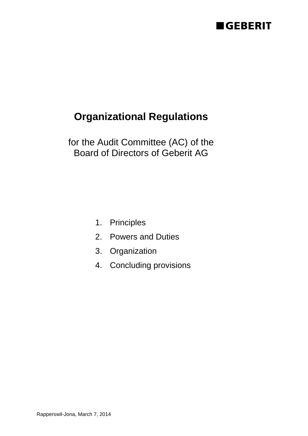# **EGEBERIT**

# **Organizational Regulations**

for the Audit Committee (AC) of the Board of Directors of Geberit AG

- 1. Principles
- 2. Powers and Duties
- 3. Organization
- 4. Concluding provisions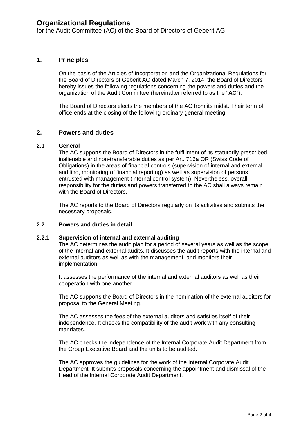### **1. Principles**

On the basis of the Articles of Incorporation and the Organizational Regulations for the Board of Directors of Geberit AG dated March 7, 2014, the Board of Directors hereby issues the following regulations concerning the powers and duties and the organization of the Audit Committee (hereinafter referred to as the "**AC**").

The Board of Directors elects the members of the AC from its midst. Their term of office ends at the closing of the following ordinary general meeting.

#### **2. Powers and duties**

#### **2.1 General**

The AC supports the Board of Directors in the fulfillment of its statutorily prescribed, inalienable and non-transferable duties as per Art. 716a OR (Swiss Code of Obligations) in the areas of financial controls (supervision of internal and external auditing, monitoring of financial reporting) as well as supervision of persons entrusted with management (internal control system). Nevertheless, overall responsibility for the duties and powers transferred to the AC shall always remain with the Board of Directors.

The AC reports to the Board of Directors regularly on its activities and submits the necessary proposals.

#### **2.2 Powers and duties in detail**

#### **2.2.1 Supervision of internal and external auditing**

The AC determines the audit plan for a period of several years as well as the scope of the internal and external audits. It discusses the audit reports with the internal and external auditors as well as with the management, and monitors their implementation.

It assesses the performance of the internal and external auditors as well as their cooperation with one another.

The AC supports the Board of Directors in the nomination of the external auditors for proposal to the General Meeting.

The AC assesses the fees of the external auditors and satisfies itself of their independence. It checks the compatibility of the audit work with any consulting mandates.

The AC checks the independence of the Internal Corporate Audit Department from the Group Executive Board and the units to be audited.

The AC approves the guidelines for the work of the Internal Corporate Audit Department. It submits proposals concerning the appointment and dismissal of the Head of the Internal Corporate Audit Department.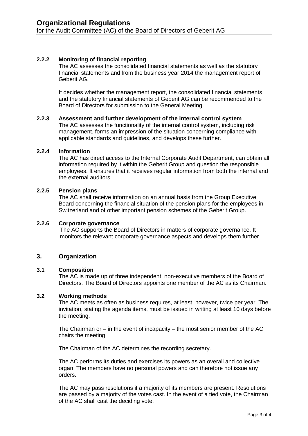## **2.2.2 Monitoring of financial reporting**

The AC assesses the consolidated financial statements as well as the statutory financial statements and from the business year 2014 the management report of Geberit AG.

It decides whether the management report, the consolidated financial statements and the statutory financial statements of Geberit AG can be recommended to the Board of Directors for submission to the General Meeting.

#### **2.2.3 Assessment and further development of the internal control system**

The AC assesses the functionality of the internal control system, including risk management, forms an impression of the situation concerning compliance with applicable standards and guidelines, and develops these further.

#### **2.2.4 Information**

The AC has direct access to the Internal Corporate Audit Department, can obtain all information required by it within the Geberit Group and question the responsible employees. It ensures that it receives regular information from both the internal and the external auditors.

#### **2.2.5 Pension plans**

The AC shall receive information on an annual basis from the Group Executive Board concerning the financial situation of the pension plans for the employees in Switzerland and of other important pension schemes of the Geberit Group.

#### **2.2.6 Corporate governance**

The AC supports the Board of Directors in matters of corporate governance. It monitors the relevant corporate governance aspects and develops them further.

#### **3. Organization**

#### **3.1 Composition**

The AC is made up of three independent, non-executive members of the Board of Directors. The Board of Directors appoints one member of the AC as its Chairman.

#### **3.2 Working methods**

The AC meets as often as business requires, at least, however, twice per year. The invitation, stating the agenda items, must be issued in writing at least 10 days before the meeting.

The Chairman or  $-$  in the event of incapacity  $-$  the most senior member of the AC chairs the meeting.

The Chairman of the AC determines the recording secretary.

The AC performs its duties and exercises its powers as an overall and collective organ. The members have no personal powers and can therefore not issue any orders.

The AC may pass resolutions if a majority of its members are present. Resolutions are passed by a majority of the votes cast. In the event of a tied vote, the Chairman of the AC shall cast the deciding vote.